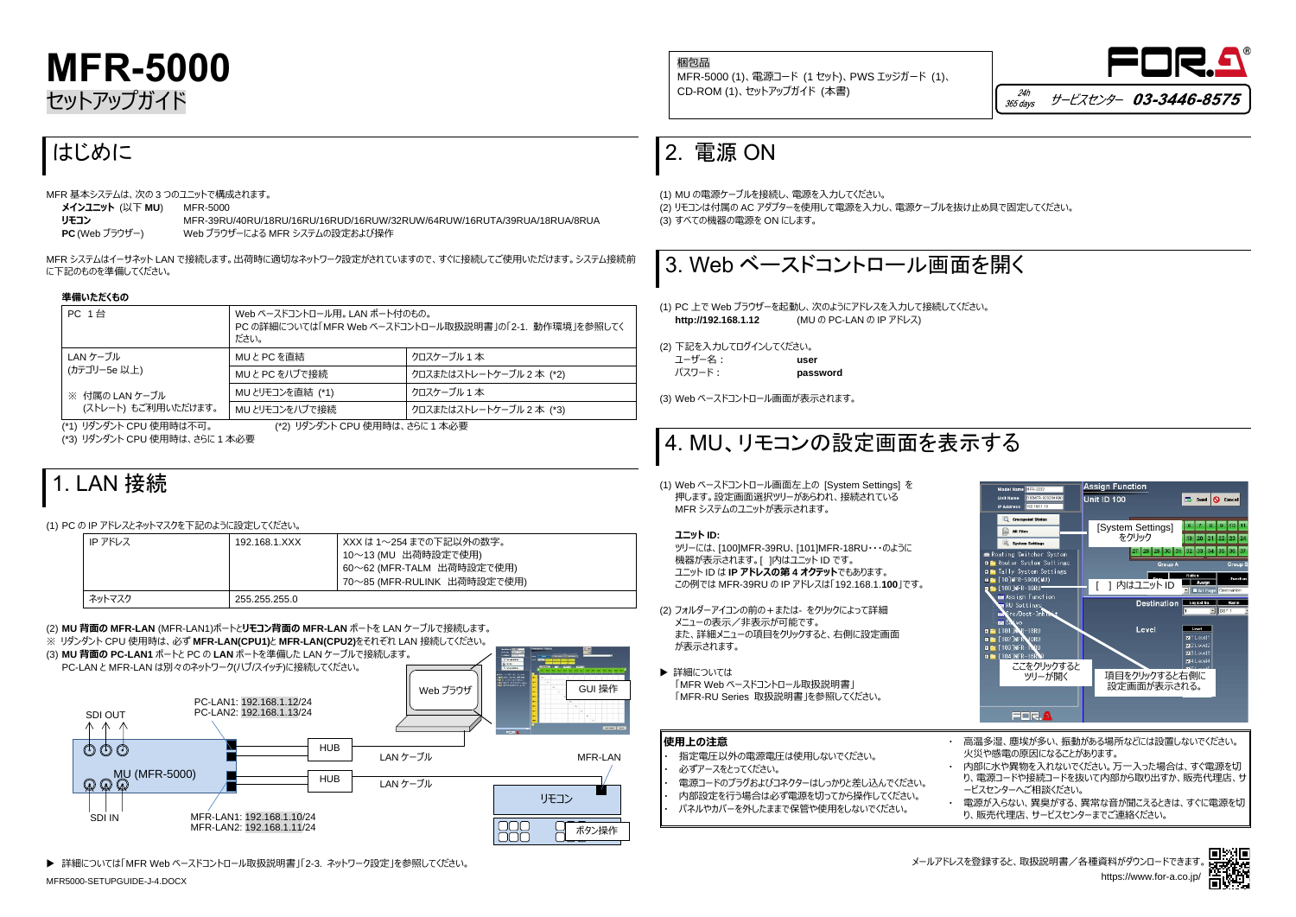MFR5000-SETUPGUIDE-J-4.DOCX







# **MFR-5000** セットアップガイド

## はじめに

MFR 基本システムは、次の 3 つのユニットで構成されます。

| メインユニット (以下 MU) | MFR-5000   |
|-----------------|------------|
| リモコン            | MFR-39Rl   |
| ------------    | ,,, , ⊣*−⊷ |

**リモコン** MFR-39RU/40RU/18RU/16RU/16RUD/16RUW/32RUW/64RUW/16RUTA/39RUA/18RUA/8RUA **PC** (Web ブラウザー) Web ブラウザーによる MFR システムの設定および操作

MFR システムはイーサネット LAN で接続します。出荷時に適切なネットワーク設定がされていますので、すぐに接続してご使用いただけます。システム接続前 に下記のものを準備してください。

### **準備いただくもの**

| <b>PC 1台</b>        | Web ベースドコントロール用。 LAN ポート付のもの。<br>PC の詳細については「MFR Web ベースドコントロール取扱説明書」の「2-1. 動作環境」を参照してく<br>ださい。 |                          |
|---------------------|-------------------------------------------------------------------------------------------------|--------------------------|
| LAN ケーブル            | MUとPCを直結                                                                                        | クロスケーブル 1 本              |
| (カテゴリー5e 以上)        | MUとPC をハブで接続                                                                                    | クロスまたはストレートケーブル 2 本 (*2) |
| ※ 付属の LAN ケーブル      | MU とリモコンを直結 (*1)                                                                                | クロスケーブル 1 本              |
| (ストレート) もご利用いただけます。 | MU とリモコンをハブで接続                                                                                  | クロスまたはストレートケーブル 2 本 (*3) |

(\*1) リダンダント CPU 使用時は不可。 (\*2) リダンダント CPU 使用時は、さらに 1 本必要 (\*3) リダンダント CPU 使用時は、さらに 1 本必要

## 1. LAN 接続

### (1) PC の IP アドレスとネットマスクを下記のように設定してください。

| IP アドレス | 192.168.1.XXX | - XXX は 1〜254 までの下記以外の数字。<br>10~13 (MU 出荷時設定で使用)<br>60~62 (MFR-TALM 出荷時設定で使用)<br>70~85 (MFR-RULINK 出荷時設定で使用) |
|---------|---------------|--------------------------------------------------------------------------------------------------------------|
| ネットマスク  | 255.255.255.0 |                                                                                                              |

(2) **MU 背面の MFR-LAN** (MFR-LAN1)ポートと**リモコン背面の MFR-LAN** ポートを LAN ケーブルで接続します。 ※ リダンダント CPU 使用時は、必ず **MFR-LAN(CPU1)**と **MFR-LAN(CPU2)**をそれぞれ LAN 接続してください。

- 指定電圧以外の電源電圧は使用しないでください。
- 必ずアースをとってください。
- 電源コードのプラグおよびコネクターはしっかりと差し込んでください。
- ・ 内部設定を行う場合は必ず電源を切ってから操作してください。
- ・ パネルやカバーを外したままで保管や使用をしないでください。

電源が入らない、異臭がする、異常な音が聞こえるときは、すぐに電源を切 り、販売代理店、サービスセンターまでご連絡ください。



詳細については「MFR Web ベースドコントロール取扱説明書」「2-3. ネットワーク設定」を参照してください。

### 2. 電源 ON

(1) MU の電源ケーブルを接続し、電源を入力してください。 (2) リモコンは付属の AC アダプターを使用して電源を入力し、電源ケーブルを抜け止め具で固定してください。 (3) すべての機器の電源を ON にします。



(1) PC 上で Web ブラウザーを起動し、次のようにアドレスを入力して接続してください。 **http://192.168.1.12** (MU の PC-LAN の IP アドレス)

(2) 下記を入力してログインしてください。 ユーザー名: **user** パスワード: **password**

(3) Web ベースドコントロール画面が表示されます。

## 4. MU、リモコンの設定画面を表示する

(1) Web ベースドコントロール画面左上の [System Settings] を 押します。設定画面選択ツリーがあらわれ、接続されている MFR システムのユニットが表示されます。

### **ユニット ID:**

ツリーには、[100]MFR-39RU、[101]MFR-18RU・・・のように 機器が表示されます。[ ]内はユニット ID です。 ユニット ID は **IP アドレスの第 4 オクテット**でもあります。 この例では MFR-39RU の IP アドレスは「192.168.1.**100**」です。



- (2) フォルダーアイコンの前の+または- をクリックによって詳細 メニューの表示/非表示が可能です。 また、詳細メニューの項目をクリックすると、右側に設定画面 が表示されます。
- ▶ 詳細については 「MFR Web ベースドコントロール取扱説明書」 「MFR-RU Series 取扱説明書」を参照してください。

| │使用上の注意 |  |
|---------|--|
|         |  |

・ 高温多湿、塵埃が多い、振動がある場所などには設置しないでください。 火災や感電の原因になることがあります。

・ 内部に水や異物を入れないでください。万一入った場合は、すぐ電源を切 り、電源コードや接続コードを抜いて内部から取り出すか、販売代理店、サ ービスセンターへご相談ください。



梱包品 MFR-5000 (1)、電源コード (1 セット)、PWS エッジガード (1)、 CD-ROM (1)、セットアップガイド (本書)